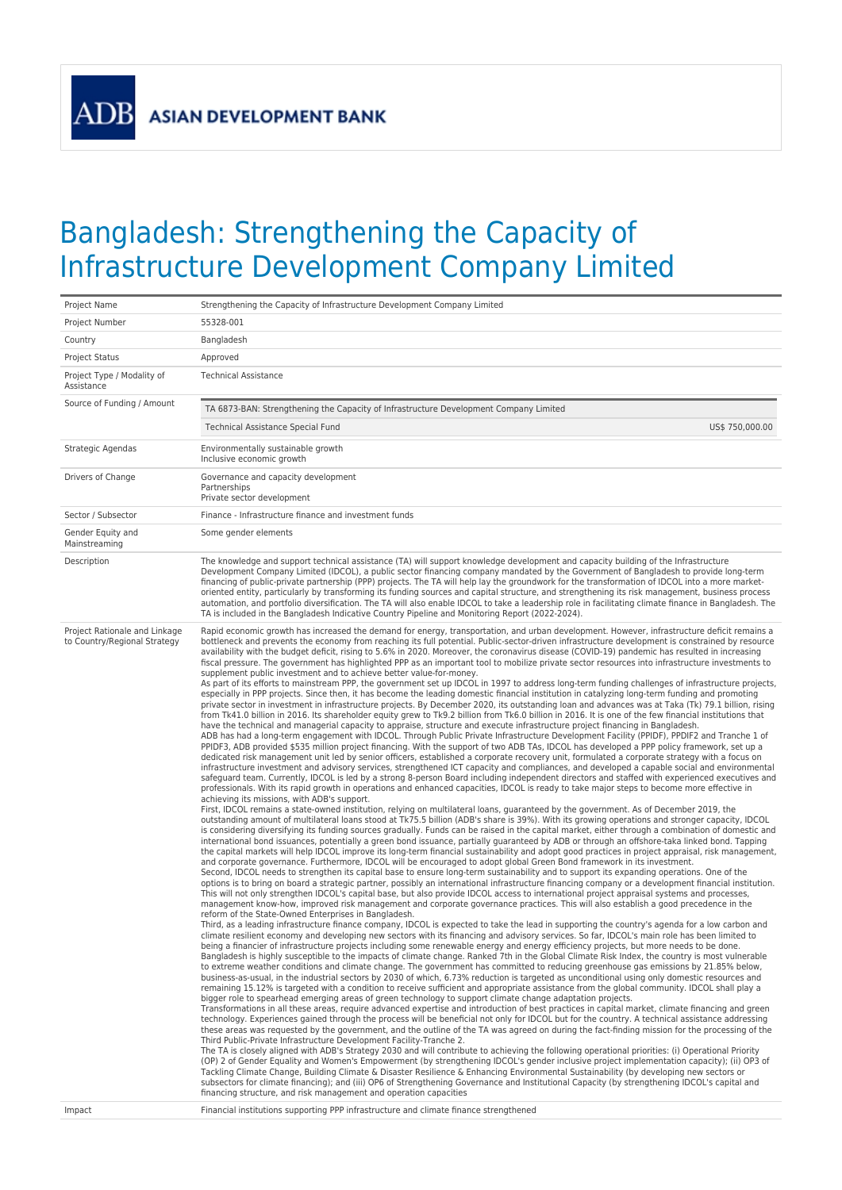**ADF** 

## Bangladesh: Strengthening the Capacity of Infrastructure Development Company Limited

| Project Name                                                            | Strengthening the Capacity of Infrastructure Development Company Limited                                                                                                                                                                                                                                                                                                                                                                                                                                                                                                                                                                                                                                                                                                                                                                                                                                                                                                                                                                                                                                                                                                                                                                                                                                                                                                                                                                                                                                                                                                                                                                                                                                                                                                                                                                                                                                                                                                                                                                                                                                                                                                                                                                                                                                                                                                                                                                                                                                                                                                                                                                                                                                                                                                                                                                                                                                                                                                                                                                                                                                                                                                                                                                                                                                                                                                                                                                                                                                                                                                                                                                                                                                                                                                                                                                                                                                                                                                                                                                                                                                                                                                                                                                                                                                                                                                                                                                                                                                                                                                                                                                                                                                                                                                                                                                                                                                                                                                                                                                                                                                                                                                                                                                                                                                                                                                                                                                                                                                                                                                                                                                                                                                                                                                                                                                                                                                                                                                                                                                                                                                                                                                                                                                                                                                                                                                    |
|-------------------------------------------------------------------------|-----------------------------------------------------------------------------------------------------------------------------------------------------------------------------------------------------------------------------------------------------------------------------------------------------------------------------------------------------------------------------------------------------------------------------------------------------------------------------------------------------------------------------------------------------------------------------------------------------------------------------------------------------------------------------------------------------------------------------------------------------------------------------------------------------------------------------------------------------------------------------------------------------------------------------------------------------------------------------------------------------------------------------------------------------------------------------------------------------------------------------------------------------------------------------------------------------------------------------------------------------------------------------------------------------------------------------------------------------------------------------------------------------------------------------------------------------------------------------------------------------------------------------------------------------------------------------------------------------------------------------------------------------------------------------------------------------------------------------------------------------------------------------------------------------------------------------------------------------------------------------------------------------------------------------------------------------------------------------------------------------------------------------------------------------------------------------------------------------------------------------------------------------------------------------------------------------------------------------------------------------------------------------------------------------------------------------------------------------------------------------------------------------------------------------------------------------------------------------------------------------------------------------------------------------------------------------------------------------------------------------------------------------------------------------------------------------------------------------------------------------------------------------------------------------------------------------------------------------------------------------------------------------------------------------------------------------------------------------------------------------------------------------------------------------------------------------------------------------------------------------------------------------------------------------------------------------------------------------------------------------------------------------------------------------------------------------------------------------------------------------------------------------------------------------------------------------------------------------------------------------------------------------------------------------------------------------------------------------------------------------------------------------------------------------------------------------------------------------------------------------------------------------------------------------------------------------------------------------------------------------------------------------------------------------------------------------------------------------------------------------------------------------------------------------------------------------------------------------------------------------------------------------------------------------------------------------------------------------------------------------------------------------------------------------------------------------------------------------------------------------------------------------------------------------------------------------------------------------------------------------------------------------------------------------------------------------------------------------------------------------------------------------------------------------------------------------------------------------------------------------------------------------------------------------------------------------------------------------------------------------------------------------------------------------------------------------------------------------------------------------------------------------------------------------------------------------------------------------------------------------------------------------------------------------------------------------------------------------------------------------------------------------------------------------------------------------------------------------------------------------------------------------------------------------------------------------------------------------------------------------------------------------------------------------------------------------------------------------------------------------------------------------------------------------------------------------------------------------------------------------------------------------------------------------------------------------------------------------------------------------------------------------------------------------------------------------------------------------------------------------------------------------------------------------------------------------------------------------------------------------------------------------------------------------------------------------------------------------------------------------------------------------------------------------------------------------------------------------------------------------|
| Project Number                                                          | 55328-001                                                                                                                                                                                                                                                                                                                                                                                                                                                                                                                                                                                                                                                                                                                                                                                                                                                                                                                                                                                                                                                                                                                                                                                                                                                                                                                                                                                                                                                                                                                                                                                                                                                                                                                                                                                                                                                                                                                                                                                                                                                                                                                                                                                                                                                                                                                                                                                                                                                                                                                                                                                                                                                                                                                                                                                                                                                                                                                                                                                                                                                                                                                                                                                                                                                                                                                                                                                                                                                                                                                                                                                                                                                                                                                                                                                                                                                                                                                                                                                                                                                                                                                                                                                                                                                                                                                                                                                                                                                                                                                                                                                                                                                                                                                                                                                                                                                                                                                                                                                                                                                                                                                                                                                                                                                                                                                                                                                                                                                                                                                                                                                                                                                                                                                                                                                                                                                                                                                                                                                                                                                                                                                                                                                                                                                                                                                                                                   |
| Country                                                                 | Bangladesh                                                                                                                                                                                                                                                                                                                                                                                                                                                                                                                                                                                                                                                                                                                                                                                                                                                                                                                                                                                                                                                                                                                                                                                                                                                                                                                                                                                                                                                                                                                                                                                                                                                                                                                                                                                                                                                                                                                                                                                                                                                                                                                                                                                                                                                                                                                                                                                                                                                                                                                                                                                                                                                                                                                                                                                                                                                                                                                                                                                                                                                                                                                                                                                                                                                                                                                                                                                                                                                                                                                                                                                                                                                                                                                                                                                                                                                                                                                                                                                                                                                                                                                                                                                                                                                                                                                                                                                                                                                                                                                                                                                                                                                                                                                                                                                                                                                                                                                                                                                                                                                                                                                                                                                                                                                                                                                                                                                                                                                                                                                                                                                                                                                                                                                                                                                                                                                                                                                                                                                                                                                                                                                                                                                                                                                                                                                                                                  |
| <b>Project Status</b>                                                   | Approved                                                                                                                                                                                                                                                                                                                                                                                                                                                                                                                                                                                                                                                                                                                                                                                                                                                                                                                                                                                                                                                                                                                                                                                                                                                                                                                                                                                                                                                                                                                                                                                                                                                                                                                                                                                                                                                                                                                                                                                                                                                                                                                                                                                                                                                                                                                                                                                                                                                                                                                                                                                                                                                                                                                                                                                                                                                                                                                                                                                                                                                                                                                                                                                                                                                                                                                                                                                                                                                                                                                                                                                                                                                                                                                                                                                                                                                                                                                                                                                                                                                                                                                                                                                                                                                                                                                                                                                                                                                                                                                                                                                                                                                                                                                                                                                                                                                                                                                                                                                                                                                                                                                                                                                                                                                                                                                                                                                                                                                                                                                                                                                                                                                                                                                                                                                                                                                                                                                                                                                                                                                                                                                                                                                                                                                                                                                                                                    |
| Project Type / Modality of<br>Assistance                                | <b>Technical Assistance</b>                                                                                                                                                                                                                                                                                                                                                                                                                                                                                                                                                                                                                                                                                                                                                                                                                                                                                                                                                                                                                                                                                                                                                                                                                                                                                                                                                                                                                                                                                                                                                                                                                                                                                                                                                                                                                                                                                                                                                                                                                                                                                                                                                                                                                                                                                                                                                                                                                                                                                                                                                                                                                                                                                                                                                                                                                                                                                                                                                                                                                                                                                                                                                                                                                                                                                                                                                                                                                                                                                                                                                                                                                                                                                                                                                                                                                                                                                                                                                                                                                                                                                                                                                                                                                                                                                                                                                                                                                                                                                                                                                                                                                                                                                                                                                                                                                                                                                                                                                                                                                                                                                                                                                                                                                                                                                                                                                                                                                                                                                                                                                                                                                                                                                                                                                                                                                                                                                                                                                                                                                                                                                                                                                                                                                                                                                                                                                 |
| Source of Funding / Amount                                              | TA 6873-BAN: Strengthening the Capacity of Infrastructure Development Company Limited                                                                                                                                                                                                                                                                                                                                                                                                                                                                                                                                                                                                                                                                                                                                                                                                                                                                                                                                                                                                                                                                                                                                                                                                                                                                                                                                                                                                                                                                                                                                                                                                                                                                                                                                                                                                                                                                                                                                                                                                                                                                                                                                                                                                                                                                                                                                                                                                                                                                                                                                                                                                                                                                                                                                                                                                                                                                                                                                                                                                                                                                                                                                                                                                                                                                                                                                                                                                                                                                                                                                                                                                                                                                                                                                                                                                                                                                                                                                                                                                                                                                                                                                                                                                                                                                                                                                                                                                                                                                                                                                                                                                                                                                                                                                                                                                                                                                                                                                                                                                                                                                                                                                                                                                                                                                                                                                                                                                                                                                                                                                                                                                                                                                                                                                                                                                                                                                                                                                                                                                                                                                                                                                                                                                                                                                                       |
|                                                                         | Technical Assistance Special Fund<br>US\$ 750,000.00                                                                                                                                                                                                                                                                                                                                                                                                                                                                                                                                                                                                                                                                                                                                                                                                                                                                                                                                                                                                                                                                                                                                                                                                                                                                                                                                                                                                                                                                                                                                                                                                                                                                                                                                                                                                                                                                                                                                                                                                                                                                                                                                                                                                                                                                                                                                                                                                                                                                                                                                                                                                                                                                                                                                                                                                                                                                                                                                                                                                                                                                                                                                                                                                                                                                                                                                                                                                                                                                                                                                                                                                                                                                                                                                                                                                                                                                                                                                                                                                                                                                                                                                                                                                                                                                                                                                                                                                                                                                                                                                                                                                                                                                                                                                                                                                                                                                                                                                                                                                                                                                                                                                                                                                                                                                                                                                                                                                                                                                                                                                                                                                                                                                                                                                                                                                                                                                                                                                                                                                                                                                                                                                                                                                                                                                                                                        |
| Strategic Agendas                                                       | Environmentally sustainable growth<br>Inclusive economic growth                                                                                                                                                                                                                                                                                                                                                                                                                                                                                                                                                                                                                                                                                                                                                                                                                                                                                                                                                                                                                                                                                                                                                                                                                                                                                                                                                                                                                                                                                                                                                                                                                                                                                                                                                                                                                                                                                                                                                                                                                                                                                                                                                                                                                                                                                                                                                                                                                                                                                                                                                                                                                                                                                                                                                                                                                                                                                                                                                                                                                                                                                                                                                                                                                                                                                                                                                                                                                                                                                                                                                                                                                                                                                                                                                                                                                                                                                                                                                                                                                                                                                                                                                                                                                                                                                                                                                                                                                                                                                                                                                                                                                                                                                                                                                                                                                                                                                                                                                                                                                                                                                                                                                                                                                                                                                                                                                                                                                                                                                                                                                                                                                                                                                                                                                                                                                                                                                                                                                                                                                                                                                                                                                                                                                                                                                                             |
| Drivers of Change                                                       | Governance and capacity development<br>Partnerships<br>Private sector development                                                                                                                                                                                                                                                                                                                                                                                                                                                                                                                                                                                                                                                                                                                                                                                                                                                                                                                                                                                                                                                                                                                                                                                                                                                                                                                                                                                                                                                                                                                                                                                                                                                                                                                                                                                                                                                                                                                                                                                                                                                                                                                                                                                                                                                                                                                                                                                                                                                                                                                                                                                                                                                                                                                                                                                                                                                                                                                                                                                                                                                                                                                                                                                                                                                                                                                                                                                                                                                                                                                                                                                                                                                                                                                                                                                                                                                                                                                                                                                                                                                                                                                                                                                                                                                                                                                                                                                                                                                                                                                                                                                                                                                                                                                                                                                                                                                                                                                                                                                                                                                                                                                                                                                                                                                                                                                                                                                                                                                                                                                                                                                                                                                                                                                                                                                                                                                                                                                                                                                                                                                                                                                                                                                                                                                                                           |
| Sector / Subsector                                                      | Finance - Infrastructure finance and investment funds                                                                                                                                                                                                                                                                                                                                                                                                                                                                                                                                                                                                                                                                                                                                                                                                                                                                                                                                                                                                                                                                                                                                                                                                                                                                                                                                                                                                                                                                                                                                                                                                                                                                                                                                                                                                                                                                                                                                                                                                                                                                                                                                                                                                                                                                                                                                                                                                                                                                                                                                                                                                                                                                                                                                                                                                                                                                                                                                                                                                                                                                                                                                                                                                                                                                                                                                                                                                                                                                                                                                                                                                                                                                                                                                                                                                                                                                                                                                                                                                                                                                                                                                                                                                                                                                                                                                                                                                                                                                                                                                                                                                                                                                                                                                                                                                                                                                                                                                                                                                                                                                                                                                                                                                                                                                                                                                                                                                                                                                                                                                                                                                                                                                                                                                                                                                                                                                                                                                                                                                                                                                                                                                                                                                                                                                                                                       |
| Gender Equity and<br>Mainstreaming                                      | Some gender elements                                                                                                                                                                                                                                                                                                                                                                                                                                                                                                                                                                                                                                                                                                                                                                                                                                                                                                                                                                                                                                                                                                                                                                                                                                                                                                                                                                                                                                                                                                                                                                                                                                                                                                                                                                                                                                                                                                                                                                                                                                                                                                                                                                                                                                                                                                                                                                                                                                                                                                                                                                                                                                                                                                                                                                                                                                                                                                                                                                                                                                                                                                                                                                                                                                                                                                                                                                                                                                                                                                                                                                                                                                                                                                                                                                                                                                                                                                                                                                                                                                                                                                                                                                                                                                                                                                                                                                                                                                                                                                                                                                                                                                                                                                                                                                                                                                                                                                                                                                                                                                                                                                                                                                                                                                                                                                                                                                                                                                                                                                                                                                                                                                                                                                                                                                                                                                                                                                                                                                                                                                                                                                                                                                                                                                                                                                                                                        |
| Description                                                             | The knowledge and support technical assistance (TA) will support knowledge development and capacity building of the Infrastructure<br>Development Company Limited (IDCOL), a public sector financing company mandated by the Government of Bangladesh to provide long-term<br>financing of public-private partnership (PPP) projects. The TA will help lay the groundwork for the transformation of IDCOL into a more market-<br>oriented entity, particularly by transforming its funding sources and capital structure, and strengthening its risk management, business process<br>automation, and portfolio diversification. The TA will also enable IDCOL to take a leadership role in facilitating climate finance in Bangladesh. The<br>TA is included in the Bangladesh Indicative Country Pipeline and Monitoring Report (2022-2024).                                                                                                                                                                                                                                                                                                                                                                                                                                                                                                                                                                                                                                                                                                                                                                                                                                                                                                                                                                                                                                                                                                                                                                                                                                                                                                                                                                                                                                                                                                                                                                                                                                                                                                                                                                                                                                                                                                                                                                                                                                                                                                                                                                                                                                                                                                                                                                                                                                                                                                                                                                                                                                                                                                                                                                                                                                                                                                                                                                                                                                                                                                                                                                                                                                                                                                                                                                                                                                                                                                                                                                                                                                                                                                                                                                                                                                                                                                                                                                                                                                                                                                                                                                                                                                                                                                                                                                                                                                                                                                                                                                                                                                                                                                                                                                                                                                                                                                                                                                                                                                                                                                                                                                                                                                                                                                                                                                                                                                                                                                                               |
| Project Rationale and Linkage<br>to Country/Regional Strategy<br>Impact | Rapid economic growth has increased the demand for energy, transportation, and urban development. However, infrastructure deficit remains a<br>bottleneck and prevents the economy from reaching its full potential. Public-sector-driven infrastructure development is constrained by resource<br>availability with the budget deficit, rising to 5.6% in 2020. Moreover, the coronavirus disease (COVID-19) pandemic has resulted in increasing<br>fiscal pressure. The government has highlighted PPP as an important tool to mobilize private sector resources into infrastructure investments to<br>supplement public investment and to achieve better value-for-money.<br>As part of its efforts to mainstream PPP, the government set up IDCOL in 1997 to address long-term funding challenges of infrastructure projects,<br>especially in PPP projects. Since then, it has become the leading domestic financial institution in catalyzing long-term funding and promoting<br>private sector in investment in infrastructure projects. By December 2020, its outstanding loan and advances was at Taka (Tk) 79.1 billion, rising<br>from Tk41.0 billion in 2016. Its shareholder equity grew to Tk9.2 billion from Tk6.0 billion in 2016. It is one of the few financial institutions that<br>have the technical and managerial capacity to appraise, structure and execute infrastructure project financing in Bangladesh.<br>ADB has had a long-term engagement with IDCOL. Through Public Private Infrastructure Development Facility (PPIDF), PPDIF2 and Tranche 1 of<br>PPIDF3, ADB provided \$535 million project financing. With the support of two ADB TAs, IDCOL has developed a PPP policy framework, set up a<br>dedicated risk management unit led by senior officers, established a corporate recovery unit, formulated a corporate strategy with a focus on<br>infrastructure investment and advisory services, strengthened ICT capacity and compliances, and developed a capable social and environmental<br>safeguard team. Currently, IDCOL is led by a strong 8-person Board including independent directors and staffed with experienced executives and<br>professionals. With its rapid growth in operations and enhanced capacities, IDCOL is ready to take major steps to become more effective in<br>achieving its missions, with ADB's support.<br>First, IDCOL remains a state-owned institution, relying on multilateral loans, guaranteed by the government. As of December 2019, the<br>outstanding amount of multilateral loans stood at Tk75.5 billion (ADB's share is 39%). With its growing operations and stronger capacity, IDCOL<br>is considering diversifying its funding sources gradually. Funds can be raised in the capital market, either through a combination of domestic and<br>international bond issuances, potentially a green bond issuance, partially guaranteed by ADB or through an offshore-taka linked bond. Tapping<br>the capital markets will help IDCOL improve its long-term financial sustainability and adopt good practices in project appraisal, risk management,<br>and corporate governance. Furthermore, IDCOL will be encouraged to adopt global Green Bond framework in its investment.<br>Second, IDCOL needs to strengthen its capital base to ensure long-term sustainability and to support its expanding operations. One of the<br>options is to bring on board a strategic partner, possibly an international infrastructure financing company or a development financial institution.<br>This will not only strengthen IDCOL's capital base, but also provide IDCOL access to international project appraisal systems and processes,<br>management know-how, improved risk management and corporate governance practices. This will also establish a good precedence in the<br>reform of the State-Owned Enterprises in Bangladesh.<br>Third, as a leading infrastructure finance company, IDCOL is expected to take the lead in supporting the country's agenda for a low carbon and<br>climate resilient economy and developing new sectors with its financing and advisory services. So far, IDCOL's main role has been limited to<br>being a financier of infrastructure projects including some renewable energy and energy efficiency projects, but more needs to be done.<br>Bangladesh is highly susceptible to the impacts of climate change. Ranked 7th in the Global Climate Risk Index, the country is most vulnerable<br>to extreme weather conditions and climate change. The government has committed to reducing greenhouse gas emissions by 21.85% below,<br>business-as-usual, in the industrial sectors by 2030 of which, 6.73% reduction is targeted as unconditional using only domestic resources and<br>remaining 15.12% is targeted with a condition to receive sufficient and appropriate assistance from the global community. IDCOL shall play a<br>bigger role to spearhead emerging areas of green technology to support climate change adaptation projects.<br>Transformations in all these areas, require advanced expertise and introduction of best practices in capital market, climate financing and green<br>technology. Experiences gained through the process will be beneficial not only for IDCOL but for the country. A technical assistance addressing<br>these areas was requested by the government, and the outline of the TA was agreed on during the fact-finding mission for the processing of the<br>Third Public-Private Infrastructure Development Facility-Tranche 2.<br>The TA is closely aligned with ADB's Strategy 2030 and will contribute to achieving the following operational priorities: (i) Operational Priority<br>(OP) 2 of Gender Equality and Women's Empowerment (by strengthening IDCOL's gender inclusive project implementation capacity); (ii) OP3 of<br>Tackling Climate Change, Building Climate & Disaster Resilience & Enhancing Environmental Sustainability (by developing new sectors or<br>subsectors for climate financing); and (iii) OP6 of Strengthening Governance and Institutional Capacity (by strengthening IDCOL's capital and<br>financing structure, and risk management and operation capacities<br>Financial institutions supporting PPP infrastructure and climate finance strengthened |